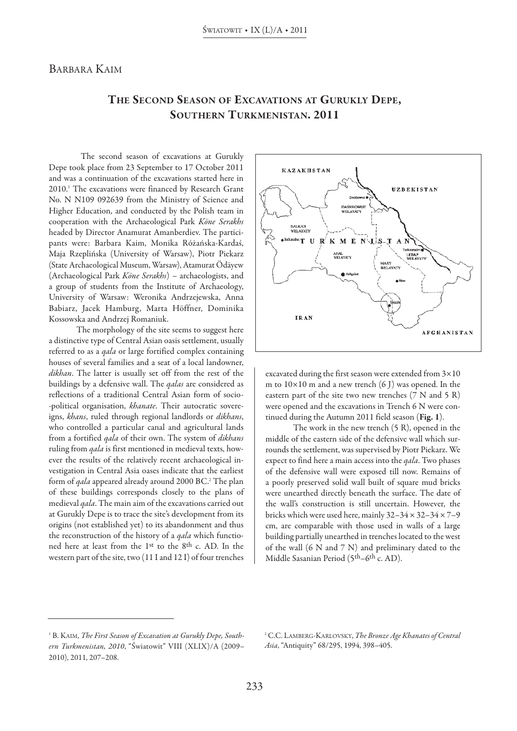## BARBARA KAIM

## **The SeCOnD SeASOn OF exCAvATiOnS AT GuRuKLY DePe, SOuTheRn TuRKMeniSTAn. 2011**

The second season of excavations at Gurukly Depe took place from 23 September to 17 October 2011 and was a continuation of the excavations started here in 2010. <sup>1</sup> The excavations were financed by Research Grant No. N N109 092639 from the Ministry of Science and Higher Education, and conducted by the Polish team in cooperation with the Archaeological Park *Köne Serakhs* headed by Director Anamurat Amanberdiev. The participants were: Barbara Kaim, Monika Różańska-Kardaś, Maja Rzeplińska (University of Warsaw), Piotr Piekarz (State Archaeological Museum, Warsaw), Atamurat Ödäyew (Archaeological Park *Köne Serakhs*) – archaeologists, and a group of students from the Institute of Archaeology, University of Warsaw: Weronika Andrzejewska, Anna Babiarz, Jacek Hamburg, Marta Höffner, Dominika Kossowska and Andrzej Romaniuk.

The morphology of the site seems to suggest here a distinctive type of Central Asian oasis settlement, usually referred to as a *qala* or large fortified complex containing houses of several families and a seat of a local landowner, *dikhan*. The latter is usually set off from the rest of the buildings by a defensive wall. The *qalas* are considered as reflections of a traditional Central Asian form of socio- -political organisation, *khanate*. Their autocratic sovereigns, *khans*, ruled through regional landlords or *dikhans*, who controlled a particular canal and agricultural lands from a fortified *qala* of their own. The system of *dikhans* ruling from *qala* is first mentioned in medieval texts, however the results of the relatively recent archaeological investigation in Central Asia oases indicate that the earliest form of *qala* appeared already around 2000 BC. <sup>2</sup> The plan of these buildings corresponds closely to the plans of medieval *qala*. The main aim of the excavations carried out at Gurukly Depe is to trace the site's development from its origins (not established yet) to its abandonment and thus the reconstruction of the history of a *qala* which functioned here at least from the 1st to the 8<sup>th</sup> c. AD. In the western part of the site, two  $(11 I and 12 I)$  of four trenches



excavated during the first season were extended from  $3\times10$ m to  $10\times10$  m and a new trench (6 J) was opened. In the eastern part of the site two new trenches (7 N and 5 R) were opened and the excavations in Trench 6 N were continued during the Autumn 2011 field season (**Fig. 1**).

The work in the new trench (5 R), opened in the middle of the eastern side of the defensive wall which surrounds the settlement, was supervised by Piotr Piekarz. We expect to find here a main access into the *qala*. Two phases of the defensive wall were exposed till now. Remains of a poorly preserved solid wall built of square mud bricks were unearthed directly beneath the surface. The date of the wall's construction is still uncertain. However, the bricks which were used here, mainly  $32-34 \times 32-34 \times 7-9$ cm, are comparable with those used in walls of a large building partially unearthed in trenches located to the west of the wall (6 N and 7 N) and preliminary dated to the Middle Sasanian Period (5<sup>th</sup>–6<sup>th</sup> c. AD).

<sup>1</sup> B. KAIM, *The First Season of Excavation at Gurukly Depe, Southern Turkmenistan, 2010*, "Światowit" vIII (XLIX)/A (2009– 2010), 2011, 207–208.

<sup>2</sup> C.C. LAMBERG-KARLovSKy, *The Bronze Age Khanates of Central Asia*, "Antiquity" 68/295, 1994, 398–405.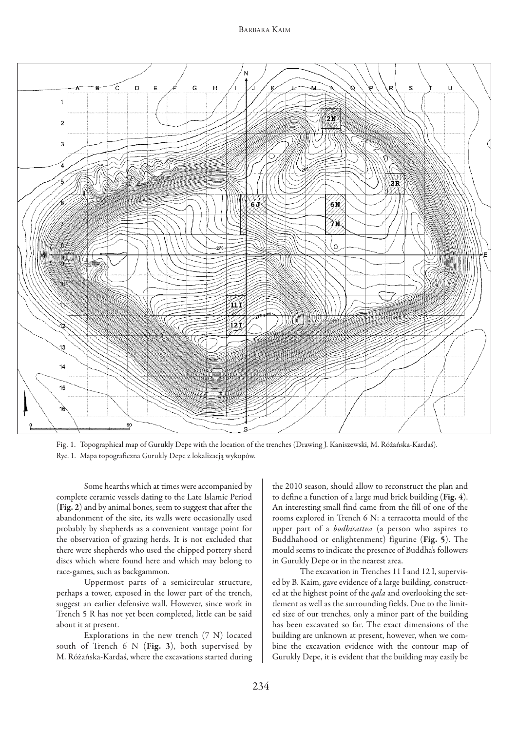## BARBARA KAIM



Fig. 1. Topographical map of Gurukly Depe with the location of the trenches (Drawing J. Kaniszewski, M. Różańska-Kardaś). Ryc. 1. Mapa topograficzna Gurukly Depe z lokalizacją wykopów.

Some hearths which at times were accompanied by complete ceramic vessels dating to the Late Islamic Period (Fig. 2) and by animal bones, seem to suggest that after the abandonment of the site, its walls were occasionally used probably by shepherds as a convenient vantage point for the observation of grazing herds. It is not excluded that there were shepherds who used the chipped pottery sherd discs which where found here and which may belong to race-games, such as backgammon.

Uppermost parts of a semicircular structure, perhaps a tower, exposed in the lower part of the trench, suggest an earlier defensive wall. However, since work in Trench 5 R has not yet been completed, little can be said about it at present.

Explorations in the new trench (7 N) located south of Trench 6 N (**Fig. 3**), both supervised by M. Różańska-Kardaś, where the excavations started during the 2010 season, should allow to reconstruct the plan and to define a function of a large mud brick building (**Fig. 4**). An interesting small find came from the fill of one of the rooms explored in Trench 6 N: a terracotta mould of the upper part of a *bodhisattva* (a person who aspires to Buddhahood or enlightenment) figurine (**Fig. 5**). The mould seems to indicate the presence of Buddha's followers in Gurukly Depe or in the nearest area.

The excavation in Trenches 11 I and 12 I, supervised by B. Kaim, gave evidence of a large building, constructed at the highest point of the *qala* and overlooking the settlement as well as the surrounding fields. Due to the limited size of our trenches, only a minor part of the building has been excavated so far. The exact dimensions of the building are unknown at present, however, when we combine the excavation evidence with the contour map of Gurukly Depe, it is evident that the building may easily be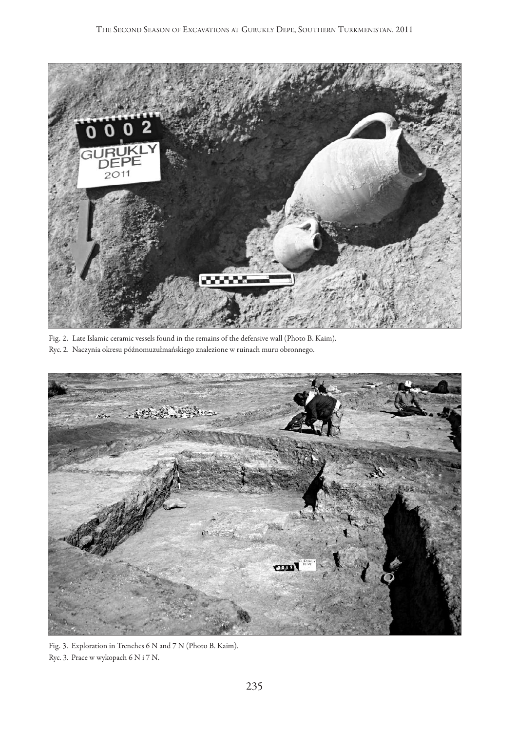

Fig. 2. Late Islamic ceramic vessels found in the remains of the defensive wall (Photo B. Kaim). Ryc. 2. Naczynia okresu późnomuzułmańskiego znalezione w ruinach muru obronnego.



Fig. 3. Exploration in Trenches 6 N and 7 N (Photo B. Kaim). Ryc. 3. Prace w wykopach 6 N i 7 N.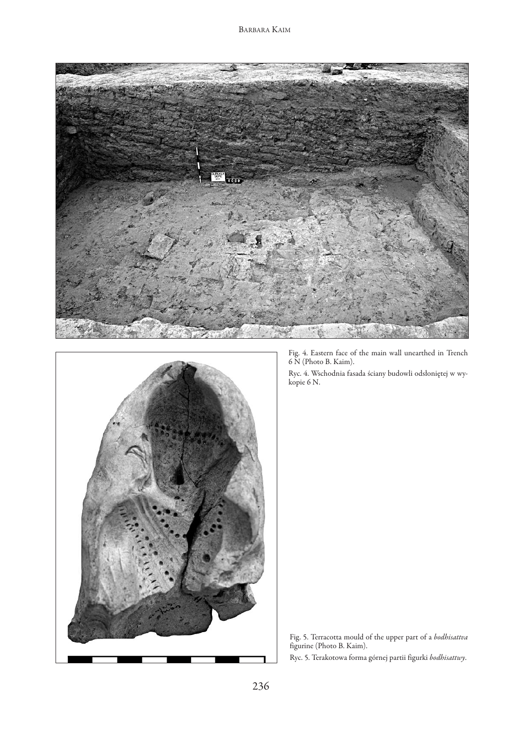



Fig. 4. Eastern face of the main wall unearthed in Trench 6 N (Photo B. Kaim).

Ryc. 4. Wschodnia fasada ściany budowli odsłoniętej w wykopie 6 N.



Ryc. 5. Terakotowa forma górnej partii figurki *bodhisattwy*.